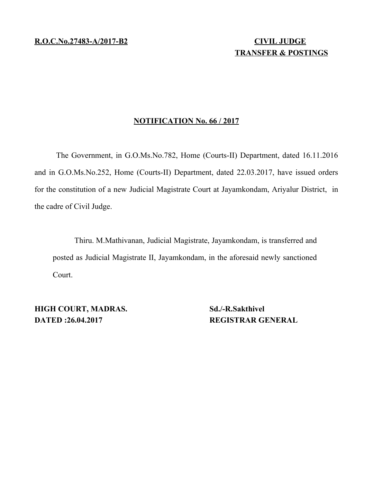## **TRANSFER & POSTINGS**

## **NOTIFICATION No. 66 / 2017**

The Government, in G.O.Ms.No.782, Home (Courts-II) Department, dated 16.11.2016 and in G.O.Ms.No.252, Home (Courts-II) Department, dated 22.03.2017, have issued orders for the constitution of a new Judicial Magistrate Court at Jayamkondam, Ariyalur District, in the cadre of Civil Judge.

Thiru. M.Mathivanan, Judicial Magistrate, Jayamkondam, is transferred and posted as Judicial Magistrate II, Jayamkondam, in the aforesaid newly sanctioned Court.

**HIGH COURT, MADRAS.** Sd./-R.Sakthivel **DATED :26.04.2017** REGISTRAR GENERAL